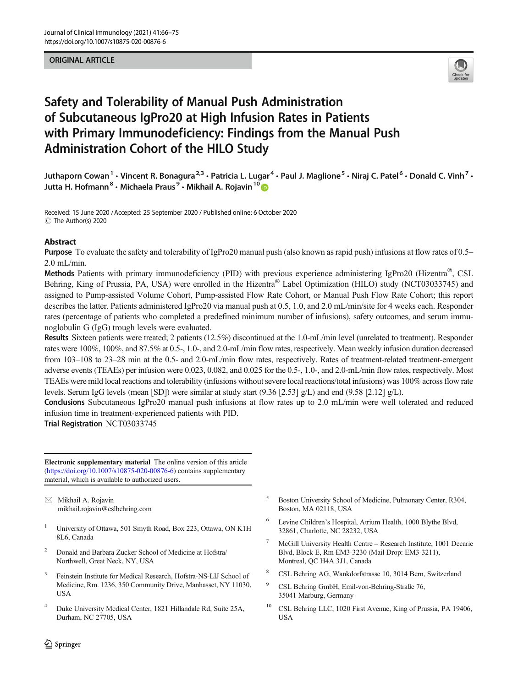ORIGINAL ARTICLE



# Safety and Tolerability of Manual Push Administration of Subcutaneous IgPro20 at High Infusion Rates in Patients with Primary Immunodeficiency: Findings from the Manual Push Administration Cohort of the HILO Study

Juthaporn Cowan<sup>1</sup> • Vincent R. Bonagura<sup>2,3</sup> • Patricia L. Lugar<sup>4</sup> • Paul J. Maglione<sup>5</sup> • Niraj C. Patel<sup>6</sup> • Donald C. Vinh<sup>7</sup> • Jutta H. Hofmann<sup>8</sup> · Michaela Praus<sup>9</sup> · Mikhail A. Rojavin<sup>10</sup>

Received: 15 June 2020 /Accepted: 25 September 2020 / Published online: 6 October 2020 C The Author(s) 2020

# Abstract

Purpose To evaluate the safety and tolerability of IgPro20 manual push (also known as rapid push) infusions at flow rates of 0.5– 2.0 mL/min.

Methods Patients with primary immunodeficiency (PID) with previous experience administering IgPro20 (Hizentra®, CSL Behring, King of Prussia, PA, USA) were enrolled in the Hizentra<sup>®</sup> Label Optimization (HILO) study (NCT03033745) and assigned to Pump-assisted Volume Cohort, Pump-assisted Flow Rate Cohort, or Manual Push Flow Rate Cohort; this report describes the latter. Patients administered IgPro20 via manual push at 0.5, 1.0, and 2.0 mL/min/site for 4 weeks each. Responder rates (percentage of patients who completed a predefined minimum number of infusions), safety outcomes, and serum immunoglobulin G (IgG) trough levels were evaluated.

Results Sixteen patients were treated; 2 patients (12.5%) discontinued at the 1.0-mL/min level (unrelated to treatment). Responder rates were 100%, 100%, and 87.5% at 0.5-, 1.0-, and 2.0-mL/min flow rates, respectively. Mean weekly infusion duration decreased from 103–108 to 23–28 min at the 0.5- and 2.0-mL/min flow rates, respectively. Rates of treatment-related treatment-emergent adverse events (TEAEs) per infusion were 0.023, 0.082, and 0.025 for the 0.5-, 1.0-, and 2.0-mL/min flow rates, respectively. Most TEAEs were mild local reactions and tolerability (infusions without severe local reactions/total infusions) was 100% across flow rate levels. Serum IgG levels (mean [SD]) were similar at study start (9.36 [2.53] g/L) and end (9.58 [2.12] g/L).

Conclusions Subcutaneous IgPro20 manual push infusions at flow rates up to 2.0 mL/min were well tolerated and reduced infusion time in treatment-experienced patients with PID.

Trial Registration NCT03033745

Electronic supplementary material The online version of this article ([https://doi.org/10.1007/s10875-020-00876-6\)](https://doi.org/10.1007/s10875-020-00876-6) contains supplementary material, which is available to authorized users.

 $\boxtimes$  Mikhail A. Rojavin [mikhail.rojavin@cslbehring.com](mailto:mikhail.rojavin@cslbehring.com)

- <sup>1</sup> University of Ottawa, 501 Smyth Road, Box 223, Ottawa, ON K1H 8L6, Canada
- <sup>2</sup> Donald and Barbara Zucker School of Medicine at Hofstra/ Northwell, Great Neck, NY, USA
- <sup>3</sup> Feinstein Institute for Medical Research, Hofstra-NS-LIJ School of Medicine, Rm. 1236, 350 Community Drive, Manhasset, NY 11030, USA
- <sup>4</sup> Duke University Medical Center, 1821 Hillandale Rd, Suite 25A, Durham, NC 27705, USA
- <sup>5</sup> Boston University School of Medicine, Pulmonary Center, R304, Boston, MA 02118, USA
- Levine Children's Hospital, Atrium Health, 1000 Blythe Blvd, 32861, Charlotte, NC 28232, USA
- <sup>7</sup> McGill University Health Centre Research Institute, 1001 Decarie Blvd, Block E, Rm EM3-3230 (Mail Drop: EM3-3211), Montreal, QC H4A 3J1, Canada
- <sup>8</sup> CSL Behring AG, Wankdorfstrasse 10, 3014 Bern, Switzerland
- <sup>9</sup> CSL Behring GmbH, Emil-von-Behring-Straße 76, 35041 Marburg, Germany
- <sup>10</sup> CSL Behring LLC, 1020 First Avenue, King of Prussia, PA 19406, USA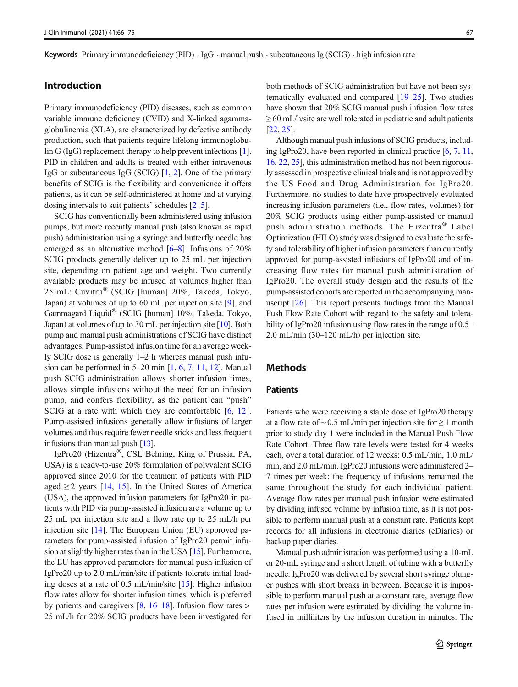# Introduction

Primary immunodeficiency (PID) diseases, such as common variable immune deficiency (CVID) and X-linked agammaglobulinemia (XLA), are characterized by defective antibody production, such that patients require lifelong immunoglobu-lin G (IgG) replacement therapy to help prevent infections [[1\]](#page-8-0). PID in children and adults is treated with either intravenous IgG or subcutaneous IgG (SCIG) [[1,](#page-8-0) [2](#page-8-0)]. One of the primary benefits of SCIG is the flexibility and convenience it offers patients, as it can be self-administered at home and at varying dosing intervals to suit patients' schedules [\[2](#page-8-0)–[5\]](#page-8-0).

SCIG has conventionally been administered using infusion pumps, but more recently manual push (also known as rapid push) administration using a syringe and butterfly needle has emerged as an alternative method  $[6–8]$  $[6–8]$  $[6–8]$  $[6–8]$ . Infusions of 20% SCIG products generally deliver up to 25 mL per injection site, depending on patient age and weight. Two currently available products may be infused at volumes higher than 25 mL: Cuvitru® (SCIG [human] 20%, Takeda, Tokyo, Japan) at volumes of up to 60 mL per injection site [\[9](#page-8-0)], and Gammagard Liquid® (SCIG [human] 10%, Takeda, Tokyo, Japan) at volumes of up to 30 mL per injection site [\[10](#page-8-0)]. Both pump and manual push administrations of SCIG have distinct advantages. Pump-assisted infusion time for an average weekly SCIG dose is generally 1–2 h whereas manual push infusion can be performed in 5–20 min [[1](#page-8-0), [6,](#page-8-0) [7,](#page-8-0) [11,](#page-8-0) [12\]](#page-9-0). Manual push SCIG administration allows shorter infusion times, allows simple infusions without the need for an infusion pump, and confers flexibility, as the patient can "push" SCIG at a rate with which they are comfortable [\[6,](#page-8-0) [12](#page-9-0)]. Pump-assisted infusions generally allow infusions of larger volumes and thus require fewer needle sticks and less frequent infusions than manual push [[13\]](#page-9-0).

IgPro20 (Hizentra®, CSL Behring, King of Prussia, PA, USA) is a ready-to-use 20% formulation of polyvalent SCIG approved since 2010 for the treatment of patients with PID aged  $\geq$  2 years [[14,](#page-9-0) [15](#page-9-0)]. In the United States of America (USA), the approved infusion parameters for IgPro20 in patients with PID via pump-assisted infusion are a volume up to 25 mL per injection site and a flow rate up to 25 mL/h per injection site [\[14\]](#page-9-0). The European Union (EU) approved parameters for pump-assisted infusion of IgPro20 permit infusion at slightly higher rates than in the USA [\[15](#page-9-0)]. Furthermore, the EU has approved parameters for manual push infusion of IgPro20 up to 2.0 mL/min/site if patients tolerate initial loading doses at a rate of 0.5 mL/min/site [\[15](#page-9-0)]. Higher infusion flow rates allow for shorter infusion times, which is preferred by patients and caregivers  $[8, 16-18]$  $[8, 16-18]$  $[8, 16-18]$  $[8, 16-18]$  $[8, 16-18]$  $[8, 16-18]$ . Infusion flow rates > 25 mL/h for 20% SCIG products have been investigated for

both methods of SCIG administration but have not been systematically evaluated and compared [[19](#page-9-0)–[25](#page-9-0)]. Two studies have shown that 20% SCIG manual push infusion flow rates  $\geq$  60 mL/h/site are well tolerated in pediatric and adult patients [\[22](#page-9-0), [25\]](#page-9-0).

Although manual push infusions of SCIG products, including IgPro20, have been reported in clinical practice [[6,](#page-8-0) [7,](#page-8-0) [11,](#page-8-0) [16,](#page-9-0) [22](#page-9-0), [25\]](#page-9-0), this administration method has not been rigorously assessed in prospective clinical trials and is not approved by the US Food and Drug Administration for IgPro20. Furthermore, no studies to date have prospectively evaluated increasing infusion parameters (i.e., flow rates, volumes) for 20% SCIG products using either pump-assisted or manual push administration methods. The Hizentra® Label Optimization (HILO) study was designed to evaluate the safety and tolerability of higher infusion parameters than currently approved for pump-assisted infusions of IgPro20 and of increasing flow rates for manual push administration of IgPro20. The overall study design and the results of the pump-assisted cohorts are reported in the accompanying manuscript [\[26\]](#page-9-0). This report presents findings from the Manual Push Flow Rate Cohort with regard to the safety and tolerability of IgPro20 infusion using flow rates in the range of 0.5– 2.0 mL/min (30–120 mL/h) per injection site.

## **Methods**

# **Patients**

Patients who were receiving a stable dose of IgPro20 therapy at a flow rate of ~ 0.5 mL/min per injection site for  $\geq 1$  month prior to study day 1 were included in the Manual Push Flow Rate Cohort. Three flow rate levels were tested for 4 weeks each, over a total duration of 12 weeks: 0.5 mL/min, 1.0 mL/ min, and 2.0 mL/min. IgPro20 infusions were administered 2– 7 times per week; the frequency of infusions remained the same throughout the study for each individual patient. Average flow rates per manual push infusion were estimated by dividing infused volume by infusion time, as it is not possible to perform manual push at a constant rate. Patients kept records for all infusions in electronic diaries (eDiaries) or backup paper diaries.

Manual push administration was performed using a 10-mL or 20-mL syringe and a short length of tubing with a butterfly needle. IgPro20 was delivered by several short syringe plunger pushes with short breaks in between. Because it is impossible to perform manual push at a constant rate, average flow rates per infusion were estimated by dividing the volume infused in milliliters by the infusion duration in minutes. The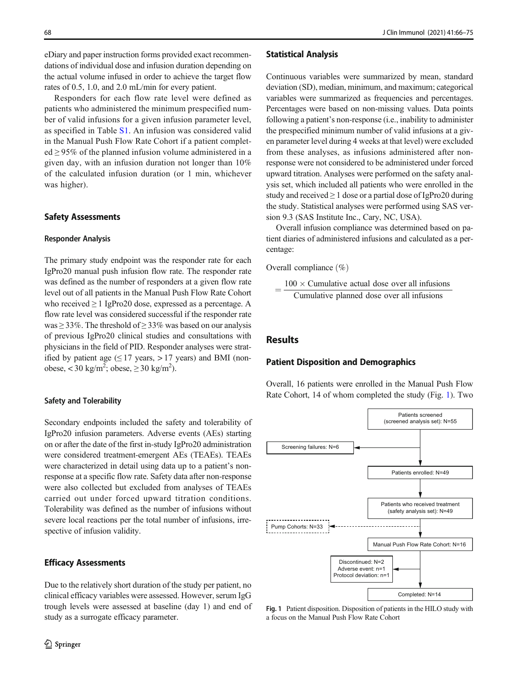eDiary and paper instruction forms provided exact recommendations of individual dose and infusion duration depending on the actual volume infused in order to achieve the target flow rates of 0.5, 1.0, and 2.0 mL/min for every patient.

Responders for each flow rate level were defined as patients who administered the minimum prespecified number of valid infusions for a given infusion parameter level, as specified in Table S1. An infusion was considered valid in the Manual Push Flow Rate Cohort if a patient completed  $\geq$  95% of the planned infusion volume administered in a given day, with an infusion duration not longer than 10% of the calculated infusion duration (or 1 min, whichever was higher).

### Safety Assessments

#### Responder Analysis

The primary study endpoint was the responder rate for each IgPro20 manual push infusion flow rate. The responder rate was defined as the number of responders at a given flow rate level out of all patients in the Manual Push Flow Rate Cohort who received  $\geq 1$  IgPro20 dose, expressed as a percentage. A flow rate level was considered successful if the responder rate was  $\geq$  33%. The threshold of  $\geq$  33% was based on our analysis of previous IgPro20 clinical studies and consultations with physicians in the field of PID. Responder analyses were stratified by patient age  $(\leq 17 \text{ years}, > 17 \text{ years})$  and BMI (nonobese, < 30 kg/m<sup>2</sup>; obese,  $\geq$  30 kg/m<sup>2</sup>).

#### Safety and Tolerability

Secondary endpoints included the safety and tolerability of IgPro20 infusion parameters. Adverse events (AEs) starting on or after the date of the first in-study IgPro20 administration were considered treatment-emergent AEs (TEAEs). TEAEs were characterized in detail using data up to a patient's nonresponse at a specific flow rate. Safety data after non-response were also collected but excluded from analyses of TEAEs carried out under forced upward titration conditions. Tolerability was defined as the number of infusions without severe local reactions per the total number of infusions, irrespective of infusion validity.

## Efficacy Assessments

Due to the relatively short duration of the study per patient, no clinical efficacy variables were assessed. However, serum IgG trough levels were assessed at baseline (day 1) and end of study as a surrogate efficacy parameter.

### Statistical Analysis

Continuous variables were summarized by mean, standard deviation (SD), median, minimum, and maximum; categorical variables were summarized as frequencies and percentages. Percentages were based on non-missing values. Data points following a patient's non-response (i.e., inability to administer the prespecified minimum number of valid infusions at a given parameter level during 4 weeks at that level) were excluded from these analyses, as infusions administered after nonresponse were not considered to be administered under forced upward titration. Analyses were performed on the safety analysis set, which included all patients who were enrolled in the study and received  $\geq 1$  dose or a partial dose of IgPro20 during the study. Statistical analyses were performed using SAS version 9.3 (SAS Institute Inc., Cary, NC, USA).

Overall infusion compliance was determined based on patient diaries of administered infusions and calculated as a percentage:

Overall compliance  $(\%)$ 

 $=\frac{100\times \text{Cumulative actual dose over all infusions}}{\text{Cumulative planned dose over all infusions}}$ Cumulative planned dose over all infusions

# **Results**

### Patient Disposition and Demographics

Overall, 16 patients were enrolled in the Manual Push Flow Rate Cohort, 14 of whom completed the study (Fig. 1). Two



Fig. 1 Patient disposition. Disposition of patients in the HILO study with a focus on the Manual Push Flow Rate Cohort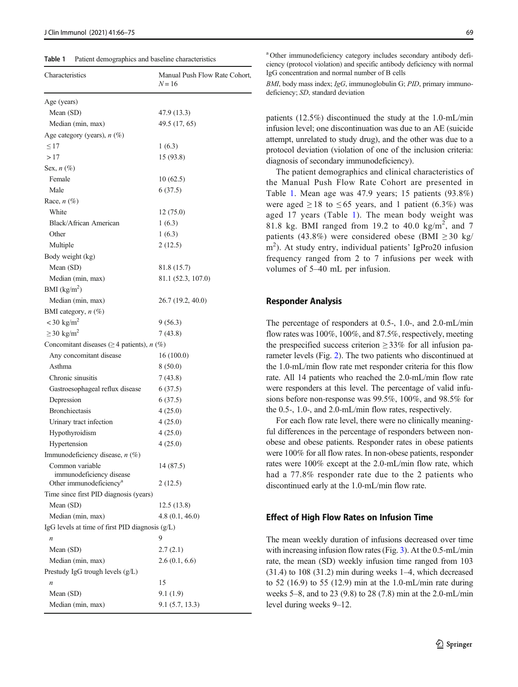Table 1 Patient demographics and baseline characteristics

| Characteristics                                         | Manual Push Flow Rate Cohort,<br>$N = 16$ |
|---------------------------------------------------------|-------------------------------------------|
| Age (years)                                             |                                           |
| Mean (SD)                                               | 47.9 (13.3)                               |
| Median (min, max)                                       | 49.5 (17, 65)                             |
| Age category (years), $n$ (%)                           |                                           |
| $\leq$ 17                                               | 1(6.3)                                    |
| >17                                                     | 15 (93.8)                                 |
| Sex, $n$ (%)                                            |                                           |
| Female                                                  | 10(62.5)                                  |
| Male                                                    | 6(37.5)                                   |
| Race, $n$ (%)                                           |                                           |
| White                                                   | 12(75.0)                                  |
| Black/African American                                  | 1(6.3)                                    |
| Other                                                   | 1(6.3)                                    |
| Multiple                                                | 2(12.5)                                   |
| Body weight (kg)                                        |                                           |
| Mean (SD)                                               | 81.8 (15.7)                               |
| Median (min, max)                                       | 81.1 (52.3, 107.0)                        |
| BMI $(kg/m^2)$                                          |                                           |
| Median (min, max)                                       | 26.7 (19.2, 40.0)                         |
| BMI category, n (%)                                     |                                           |
| $<$ 30 kg/m <sup>2</sup>                                | 9(56.3)                                   |
| $\geq$ 30 kg/m <sup>2</sup>                             | 7(43.8)                                   |
| Concomitant diseases ( $\geq$ 4 patients), <i>n</i> (%) |                                           |
| Any concomitant disease                                 | 16(100.0)                                 |
| Asthma                                                  | 8(50.0)                                   |
| Chronic sinusitis                                       | 7(43.8)                                   |
| Gastroesophageal reflux disease                         | 6(37.5)                                   |
| Depression                                              | 6(37.5)                                   |
| <b>Bronchiectasis</b>                                   | 4 (25.0)                                  |
| Urinary tract infection                                 | 4(25.0)                                   |
| Hypothyroidism                                          | 4(25.0)                                   |
| Hypertension                                            | 4(25.0)                                   |
| Immunodeficiency disease, n (%)                         |                                           |
| Common variable                                         | 14 (87.5)                                 |
| immunodeficiency disease                                |                                           |
| Other immunodeficiency <sup>a</sup>                     | 2(12.5)                                   |
| Time since first PID diagnosis (years)                  |                                           |
| Mean (SD)                                               | 12.5(13.8)                                |
| Median (min, max)                                       | 4.8(0.1, 46.0)                            |
| IgG levels at time of first PID diagnosis $(g/L)$       |                                           |
| $\boldsymbol{n}$                                        | 9                                         |
| Mean (SD)                                               | 2.7(2.1)                                  |
| Median (min, max)                                       | 2.6(0.1, 6.6)                             |
| Prestudy IgG trough levels $(g/L)$                      |                                           |
| $\boldsymbol{n}$                                        | 15                                        |
| Mean (SD)                                               | 9.1 (1.9)                                 |
| Median (min, max)                                       | 9.1(5.7, 13.3)                            |

a Other immunodeficiency category includes secondary antibody deficiency (protocol violation) and specific antibody deficiency with normal IgG concentration and normal number of B cells

BMI, body mass index; IgG, immunoglobulin G; PID, primary immunodeficiency; SD, standard deviation

patients (12.5%) discontinued the study at the 1.0-mL/min infusion level; one discontinuation was due to an AE (suicide attempt, unrelated to study drug), and the other was due to a protocol deviation (violation of one of the inclusion criteria: diagnosis of secondary immunodeficiency).

The patient demographics and clinical characteristics of the Manual Push Flow Rate Cohort are presented in Table 1. Mean age was 47.9 years; 15 patients (93.8%) were aged  $\geq 18$  to  $\leq 65$  years, and 1 patient (6.3%) was aged 17 years (Table 1). The mean body weight was 81.8 kg. BMI ranged from 19.2 to 40.0  $\text{kg/m}^2$ , and 7 patients (43.8%) were considered obese (BMI  $\geq$  30 kg/ m2 ). At study entry, individual patients' IgPro20 infusion frequency ranged from 2 to 7 infusions per week with volumes of 5–40 mL per infusion.

#### Responder Analysis

The percentage of responders at 0.5-, 1.0-, and 2.0-mL/min flow rates was 100%, 100%, and 87.5%, respectively, meeting the prespecified success criterion  $\geq$  33% for all infusion parameter levels (Fig. [2](#page-4-0)). The two patients who discontinued at the 1.0-mL/min flow rate met responder criteria for this flow rate. All 14 patients who reached the 2.0-mL/min flow rate were responders at this level. The percentage of valid infusions before non-response was 99.5%, 100%, and 98.5% for the 0.5-, 1.0-, and 2.0-mL/min flow rates, respectively.

For each flow rate level, there were no clinically meaningful differences in the percentage of responders between nonobese and obese patients. Responder rates in obese patients were 100% for all flow rates. In non-obese patients, responder rates were 100% except at the 2.0-mL/min flow rate, which had a 77.8% responder rate due to the 2 patients who discontinued early at the 1.0-mL/min flow rate.

### Effect of High Flow Rates on Infusion Time

The mean weekly duration of infusions decreased over time with increasing infusion flow rates (Fig. [3\)](#page-4-0). At the 0.5-mL/min rate, the mean (SD) weekly infusion time ranged from 103 (31.4) to 108 (31.2) min during weeks 1–4, which decreased to 52 (16.9) to 55 (12.9) min at the 1.0-mL/min rate during weeks 5–8, and to 23 (9.8) to 28 (7.8) min at the 2.0-mL/min level during weeks 9–12.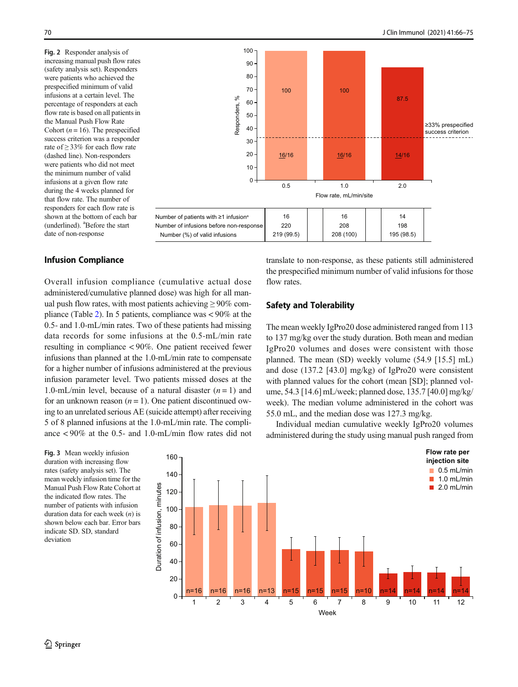<span id="page-4-0"></span>Fig. 2 Responder analysis of increasing manual push flow rates (safety analysis set). Responders were patients who achieved the prespecified minimum of valid infusions at a certain level. The percentage of responders at each flow rate is based on all patients in the Manual Push Flow Rate Cohort ( $n = 16$ ). The prespecified success criterion was a responder rate of ≥ 33% for each flow rate (dashed line). Non-responders were patients who did not meet the minimum number of valid infusions at a given flow rate during the 4 weeks planned for that flow rate. The number of responders for each flow rate is shown at the bottom of each bar (underlined). <sup>a</sup>Before the start date of non-response



## Infusion Compliance

Overall infusion compliance (cumulative actual dose administered/cumulative planned dose) was high for all manual push flow rates, with most patients achieving  $\geq 90\%$  compliance (Table [2\)](#page-5-0). In 5 patients, compliance was < 90% at the 0.5- and 1.0-mL/min rates. Two of these patients had missing data records for some infusions at the 0.5-mL/min rate resulting in compliance < 90%. One patient received fewer infusions than planned at the 1.0-mL/min rate to compensate for a higher number of infusions administered at the previous infusion parameter level. Two patients missed doses at the 1.0-mL/min level, because of a natural disaster  $(n = 1)$  and for an unknown reason  $(n = 1)$ . One patient discontinued owing to an unrelated serious AE (suicide attempt) after receiving 5 of 8 planned infusions at the 1.0-mL/min rate. The compliance < 90% at the 0.5- and 1.0-mL/min flow rates did not translate to non-response, as these patients still administered the prespecified minimum number of valid infusions for those flow rates.

## Safety and Tolerability

The mean weekly IgPro20 dose administered ranged from 113 to 137 mg/kg over the study duration. Both mean and median IgPro20 volumes and doses were consistent with those planned. The mean (SD) weekly volume (54.9 [15.5] mL) and dose (137.2 [43.0] mg/kg) of IgPro20 were consistent with planned values for the cohort (mean [SD]; planned volume, 54.3 [14.6] mL/week; planned dose, 135.7 [40.0] mg/kg/ week). The median volume administered in the cohort was 55.0 mL, and the median dose was 127.3 mg/kg.

Individual median cumulative weekly IgPro20 volumes administered during the study using manual push ranged from

Fig. 3 Mean weekly infusion duration with increasing flow rates (safety analysis set). The mean weekly infusion time for the Manual Push Flow Rate Cohort at the indicated flow rates. The number of patients with infusion duration data for each week  $(n)$  is shown below each bar. Error bars indicate SD. SD, standard deviation

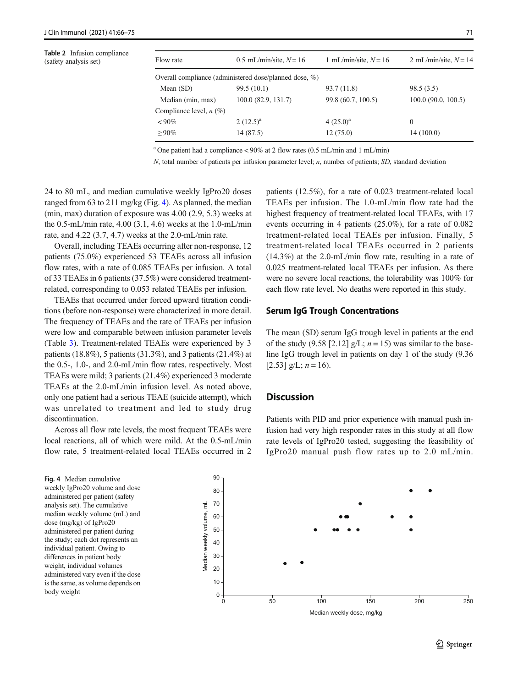<span id="page-5-0"></span>

| <b>Table 2</b> Infusion compliance<br>(safety analysis set) | Flow rate                                              | 0.5 mL/min/site, $N = 16$ | 1 mL/min/site, $N = 16$ | 2 mL/min/site, $N = 14$ |  |  |
|-------------------------------------------------------------|--------------------------------------------------------|---------------------------|-------------------------|-------------------------|--|--|
|                                                             | Overall compliance (administered dose/planned dose, %) |                           |                         |                         |  |  |
|                                                             | Mean $(SD)$                                            | 99.5(10.1)                | 93.7 (11.8)             | 98.5(3.5)               |  |  |
|                                                             | Median (min, max)                                      | 100.0(82.9, 131.7)        | 99.8 (60.7, 100.5)      | 100.0(90.0, 100.5)      |  |  |
|                                                             | Compliance level, $n$ (%)                              |                           |                         |                         |  |  |
|                                                             | $< 90\%$                                               | 2 $(12.5)^{a}$            | $4(25.0)^a$             | $\mathbf{0}$            |  |  |
|                                                             | $>90\%$                                                | 14 (87.5)                 | 12(75.0)                | 14(100.0)               |  |  |
|                                                             |                                                        |                           |                         |                         |  |  |

<sup>a</sup> One patient had a compliance < 90% at 2 flow rates (0.5 mL/min and 1 mL/min)

 $N$ , total number of patients per infusion parameter level;  $n$ , number of patients;  $SD$ , standard deviation

24 to 80 mL, and median cumulative weekly IgPro20 doses ranged from 63 to 211 mg/kg (Fig. 4). As planned, the median (min, max) duration of exposure was 4.00 (2.9, 5.3) weeks at the 0.5-mL/min rate, 4.00 (3.1, 4.6) weeks at the 1.0-mL/min rate, and 4.22 (3.7, 4.7) weeks at the 2.0-mL/min rate.

Overall, including TEAEs occurring after non-response, 12 patients (75.0%) experienced 53 TEAEs across all infusion flow rates, with a rate of 0.085 TEAEs per infusion. A total of 33 TEAEs in 6 patients (37.5%) were considered treatmentrelated, corresponding to 0.053 related TEAEs per infusion.

TEAEs that occurred under forced upward titration conditions (before non-response) were characterized in more detail. The frequency of TEAEs and the rate of TEAEs per infusion were low and comparable between infusion parameter levels (Table [3\)](#page-6-0). Treatment-related TEAEs were experienced by 3 patients (18.8%), 5 patients (31.3%), and 3 patients (21.4%) at the 0.5-, 1.0-, and 2.0-mL/min flow rates, respectively. Most TEAEs were mild; 3 patients (21.4%) experienced 3 moderate TEAEs at the 2.0-mL/min infusion level. As noted above, only one patient had a serious TEAE (suicide attempt), which was unrelated to treatment and led to study drug discontinuation.

Across all flow rate levels, the most frequent TEAEs were local reactions, all of which were mild. At the 0.5-mL/min flow rate, 5 treatment-related local TEAEs occurred in 2 patients (12.5%), for a rate of 0.023 treatment-related local TEAEs per infusion. The 1.0-mL/min flow rate had the highest frequency of treatment-related local TEAEs, with 17 events occurring in 4 patients (25.0%), for a rate of 0.082 treatment-related local TEAEs per infusion. Finally, 5 treatment-related local TEAEs occurred in 2 patients (14.3%) at the 2.0-mL/min flow rate, resulting in a rate of 0.025 treatment-related local TEAEs per infusion. As there were no severe local reactions, the tolerability was 100% for each flow rate level. No deaths were reported in this study.

## Serum IgG Trough Concentrations

The mean (SD) serum IgG trough level in patients at the end of the study (9.58 [2.12]  $g/L$ ;  $n = 15$ ) was similar to the baseline IgG trough level in patients on day 1 of the study (9.36 [2.53]  $g/L$ ;  $n = 16$ ).

# **Discussion**

Patients with PID and prior experience with manual push infusion had very high responder rates in this study at all flow rate levels of IgPro20 tested, suggesting the feasibility of IgPro20 manual push flow rates up to 2.0 mL/min.

Fig. 4 Median cumulative weekly IgPro20 volume and dose administered per patient (safety analysis set). The cumulative median weekly volume (mL) and dose (mg/kg) of IgPro20 administered per patient during the study; each dot represents an individual patient. Owing to differences in patient body weight, individual volumes administered vary even if the dose is the same, as volume depends on body weight



Median weekly dose, mg/kg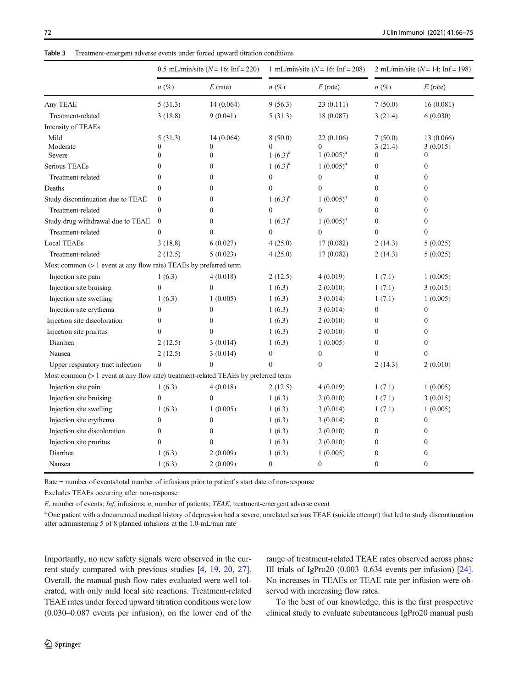<span id="page-6-0"></span>

|                                                                                    | 0.5 mL/min/site ( $N = 16$ ; Inf=220) |                  | 1 mL/min/site ( $N = 16$ ; Inf = 208) |                  | 2 mL/min/site ( $N = 14$ ; Inf = 198) |                  |
|------------------------------------------------------------------------------------|---------------------------------------|------------------|---------------------------------------|------------------|---------------------------------------|------------------|
|                                                                                    | $n(\%)$                               | $E$ (rate)       | $n(\%)$                               | $E$ (rate)       | $n (\%)$                              | $E$ (rate)       |
| Any TEAE                                                                           | 5(31.3)                               | 14(0.064)        | 9(56.3)                               | 23(0.111)        | 7(50.0)                               | 16(0.081)        |
| Treatment-related                                                                  | 3(18.8)                               | 9(0.041)         | 5(31.3)                               | 18 (0.087)       | 3(21.4)                               | 6(0.030)         |
| Intensity of TEAEs                                                                 |                                       |                  |                                       |                  |                                       |                  |
| Mild                                                                               | 5(31.3)                               | 14(0.064)        | 8(50.0)                               | 22 (0.106)       | 7(50.0)                               | 13 (0.066)       |
| Moderate                                                                           | $\mathbf{0}$                          | $\mathbf{0}$     | $\mathbf{0}$                          | $\theta$         | 3(21.4)                               | 3(0.015)         |
| Severe                                                                             | $\overline{0}$                        | $\boldsymbol{0}$ | $1(6.3)^a$                            | $1(0.005)^a$     | $\mathbf{0}$                          | $\mathbf{0}$     |
| Serious TEAEs                                                                      | $\boldsymbol{0}$                      | $\boldsymbol{0}$ | $1(6.3)^a$                            | $1(0.005)^{a}$   | $\boldsymbol{0}$                      | $\boldsymbol{0}$ |
| Treatment-related                                                                  | $\overline{0}$                        | $\mathbf{0}$     | $\mathbf{0}$                          | $\boldsymbol{0}$ | $\theta$                              | $\mathbf{0}$     |
| Deaths                                                                             | $\overline{0}$                        | $\boldsymbol{0}$ | $\mathbf{0}$                          | $\mathbf{0}$     | $\mathbf{0}$                          | $\boldsymbol{0}$ |
| Study discontinuation due to TEAE                                                  | $\boldsymbol{0}$                      | $\boldsymbol{0}$ | $1(6.3)^a$                            | $1(0.005)^a$     | $\boldsymbol{0}$                      | $\boldsymbol{0}$ |
| Treatment-related                                                                  | $\overline{0}$                        | $\mathbf{0}$     | $\mathbf{0}$                          | $\overline{0}$   | $\overline{0}$                        | $\mathbf{0}$     |
| Study drug withdrawal due to TEAE                                                  | $\boldsymbol{0}$                      | $\boldsymbol{0}$ | $1(6.3)^a$                            | $1(0.005)^{a}$   | $\boldsymbol{0}$                      | $\boldsymbol{0}$ |
| Treatment-related                                                                  | $\overline{0}$                        | $\mathbf{0}$     | $\mathbf{0}$                          | $\overline{0}$   | $\overline{0}$                        | $\boldsymbol{0}$ |
| <b>Local TEAEs</b>                                                                 | 3(18.8)                               | 6(0.027)         | 4(25.0)                               | 17 (0.082)       | 2(14.3)                               | 5(0.025)         |
| Treatment-related                                                                  | 2(12.5)                               | 5(0.023)         | 4(25.0)                               | 17 (0.082)       | 2(14.3)                               | 5(0.025)         |
| Most common (> 1 event at any flow rate) TEAEs by preferred term                   |                                       |                  |                                       |                  |                                       |                  |
| Injection site pain                                                                | 1(6.3)                                | 4(0.018)         | 2(12.5)                               | 4(0.019)         | 1(7.1)                                | 1(0.005)         |
| Injection site bruising                                                            | $\boldsymbol{0}$                      | $\boldsymbol{0}$ | 1(6.3)                                | 2(0.010)         | 1(7.1)                                | 3(0.015)         |
| Injection site swelling                                                            | 1(6.3)                                | 1(0.005)         | 1(6.3)                                | 3(0.014)         | 1(7.1)                                | 1(0.005)         |
| Injection site erythema                                                            | $\overline{0}$                        | $\mathbf{0}$     | 1(6.3)                                | 3(0.014)         | $\boldsymbol{0}$                      | $\boldsymbol{0}$ |
| Injection site discoloration                                                       | 0                                     | $\boldsymbol{0}$ | 1(6.3)                                | 2(0.010)         | $\overline{0}$                        | $\mathbf{0}$     |
| Injection site pruritus                                                            | $\boldsymbol{0}$                      | $\mathbf{0}$     | 1(6.3)                                | 2(0.010)         | $\overline{0}$                        | $\boldsymbol{0}$ |
| Diarrhea                                                                           | 2(12.5)                               | 3(0.014)         | 1(6.3)                                | 1(0.005)         | $\overline{0}$                        | $\mathbf{0}$     |
| Nausea                                                                             | 2(12.5)                               | 3(0.014)         | $\boldsymbol{0}$                      | $\boldsymbol{0}$ | $\overline{0}$                        | $\mathbf{0}$     |
| Upper respiratory tract infection                                                  | $\boldsymbol{0}$                      | $\mathbf{0}$     | $\Omega$                              | $\boldsymbol{0}$ | 2(14.3)                               | 2(0.010)         |
| Most common (> 1 event at any flow rate) treatment-related TEAEs by preferred term |                                       |                  |                                       |                  |                                       |                  |
| Injection site pain                                                                | 1(6.3)                                | 4(0.018)         | 2(12.5)                               | 4(0.019)         | 1(7.1)                                | 1(0.005)         |
| Injection site bruising                                                            | $\boldsymbol{0}$                      | $\boldsymbol{0}$ | 1(6.3)                                | 2(0.010)         | 1(7.1)                                | 3(0.015)         |
| Injection site swelling                                                            | 1(6.3)                                | 1(0.005)         | 1(6.3)                                | 3(0.014)         | 1(7.1)                                | 1(0.005)         |
| Injection site erythema                                                            | $\overline{0}$                        | $\mathbf{0}$     | 1(6.3)                                | 3(0.014)         | $\boldsymbol{0}$                      | $\boldsymbol{0}$ |
| Injection site discoloration                                                       | 0                                     | $\boldsymbol{0}$ | 1(6.3)                                | 2(0.010)         | $\boldsymbol{0}$                      | $\boldsymbol{0}$ |
| Injection site pruritus                                                            | $\overline{0}$                        | $\mathbf{0}$     | 1(6.3)                                | 2(0.010)         | $\overline{0}$                        | $\mathbf{0}$     |
| Diarrhea                                                                           | 1(6.3)                                | 2(0.009)         | 1(6.3)                                | 1(0.005)         | $\boldsymbol{0}$                      | $\boldsymbol{0}$ |
| Nausea                                                                             | 1(6.3)                                | 2(0.009)         | $\boldsymbol{0}$                      | $\boldsymbol{0}$ | $\boldsymbol{0}$                      | $\boldsymbol{0}$ |
|                                                                                    |                                       |                  |                                       |                  |                                       |                  |

Rate = number of events/total number of infusions prior to patient's start date of non-response

Excludes TEAEs occurring after non-response

E, number of events; Inf, infusions; n, number of patients; TEAE, treatment-emergent adverse event

<sup>a</sup> One patient with a documented medical history of depression had a severe, unrelated serious TEAE (suicide attempt) that led to study discontinuation after administering 5 of 8 planned infusions at the 1.0-mL/min rate

Importantly, no new safety signals were observed in the current study compared with previous studies [\[4](#page-8-0), [19](#page-9-0), [20](#page-9-0), [27](#page-9-0)]. Overall, the manual push flow rates evaluated were well tolerated, with only mild local site reactions. Treatment-related TEAE rates under forced upward titration conditions were low (0.030–0.087 events per infusion), on the lower end of the range of treatment-related TEAE rates observed across phase III trials of IgPro20  $(0.003-0.634$  events per infusion)  $[24]$  $[24]$ . No increases in TEAEs or TEAE rate per infusion were observed with increasing flow rates.

To the best of our knowledge, this is the first prospective clinical study to evaluate subcutaneous IgPro20 manual push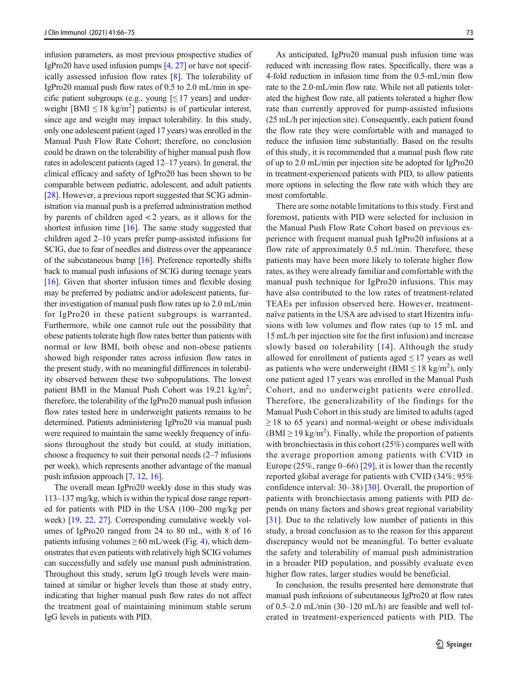infusion parameters, as most previous prospective studies of IgPro20 have used infusion pumps [[4](#page-8-0), [27](#page-9-0)] or have not specifically assessed infusion flow rates [\[8](#page-8-0)]. The tolerability of IgPro20 manual push flow rates of 0.5 to 2.0 mL/min in specific patient subgroups (e.g., young  $\leq 17$  years) and underweight [BMI  $\leq$  18 kg/m<sup>2</sup>] patients) is of particular interest, since age and weight may impact tolerability. In this study, only one adolescent patient (aged 17 years) was enrolled in the Manual Push Flow Rate Cohort; therefore, no conclusion could be drawn on the tolerability of higher manual push flow rates in adolescent patients (aged 12–17 years). In general, the clinical efficacy and safety of IgPro20 has been shown to be comparable between pediatric, adolescent, and adult patients [\[28\]](#page-9-0). However, a previous report suggested that SCIG administration via manual push is a preferred administration method by parents of children aged < 2 years, as it allows for the shortest infusion time [\[16\]](#page-9-0). The same study suggested that children aged 2–10 years prefer pump-assisted infusions for SCIG, due to fear of needles and distress over the appearance of the subcutaneous bump [\[16\]](#page-9-0). Preference reportedly shifts back to manual push infusions of SCIG during teenage years [\[16](#page-9-0)]. Given that shorter infusion times and flexible dosing may be preferred by pediatric and/or adolescent patients, further investigation of manual push flow rates up to 2.0 mL/min for IgPro20 in these patient subgroups is warranted. Furthermore, while one cannot rule out the possibility that obese patients tolerate high flow rates better than patients with normal or low BMI, both obese and non-obese patients showed high responder rates across infusion flow rates in the present study, with no meaningful differences in tolerability observed between these two subpopulations. The lowest patient BMI in the Manual Push Cohort was 19.21 kg/m<sup>2</sup>; therefore, the tolerability of the IgPro20 manual push infusion flow rates tested here in underweight patients remains to be determined. Patients administering IgPro20 via manual push were required to maintain the same weekly frequency of infusions throughout the study but could, at study initiation, choose a frequency to suit their personal needs (2–7 infusions per week), which represents another advantage of the manual push infusion approach [[7,](#page-8-0) [12,](#page-9-0) [16](#page-9-0)].

The overall mean IgPro20 weekly dose in this study was 113–137 mg/kg, which is within the typical dose range reported for patients with PID in the USA (100–200 mg/kg per week) [[19,](#page-9-0) [22,](#page-9-0) [27\]](#page-9-0). Corresponding cumulative weekly volumes of IgPro20 ranged from 24 to 80 mL, with 8 of 16 patients infusing volumes  $\geq 60$  mL/week (Fig. [4\)](#page-5-0), which demonstrates that even patients with relatively high SCIG volumes can successfully and safely use manual push administration. Throughout this study, serum IgG trough levels were maintained at similar or higher levels than those at study entry, indicating that higher manual push flow rates do not affect the treatment goal of maintaining minimum stable serum IgG levels in patients with PID.

As anticipated, IgPro20 manual push infusion time was reduced with increasing flow rates. Specifically, there was a 4-fold reduction in infusion time from the 0.5-mL/min flow rate to the 2.0-mL/min flow rate. While not all patients tolerated the highest flow rate, all patients tolerated a higher flow rate than currently approved for pump-assisted infusions (25 mL/h per injection site). Consequently, each patient found the flow rate they were comfortable with and managed to reduce the infusion time substantially. Based on the results of this study, it is recommended that a manual push flow rate of up to 2.0 mL/min per injection site be adopted for IgPro20 in treatment-experienced patients with PID, to allow patients more options in selecting the flow rate with which they are most comfortable.

There are some notable limitations to this study. First and foremost, patients with PID were selected for inclusion in the Manual Push Flow Rate Cohort based on previous experience with frequent manual push IgPro20 infusions at a flow rate of approximately 0.5 mL/min. Therefore, these patients may have been more likely to tolerate higher flow rates, as they were already familiar and comfortable with the manual push technique for IgPro20 infusions. This may have also contributed to the low rates of treatment-related TEAEs per infusion observed here. However, treatmentnaïve patients in the USA are advised to start Hizentra infusions with low volumes and flow rates (up to 15 mL and 15 mL/h per injection site for the first infusion) and increase slowly based on tolerability [[14\]](#page-9-0). Although the study allowed for enrollment of patients aged  $\leq$  17 years as well as patients who were underweight (BMI  $\leq$  18 kg/m<sup>2</sup>), only one patient aged 17 years was enrolled in the Manual Push Cohort, and no underweight patients were enrolled. Therefore, the generalizability of the findings for the Manual Push Cohort in this study are limited to adults (aged  $\geq$  18 to 65 years) and normal-weight or obese individuals  $(BMI \ge 19 \text{ kg/m}^2)$ . Finally, while the proportion of patients with bronchiectasis in this cohort (25%) compares well with the average proportion among patients with CVID in Europe  $(25\%, \text{range } 0-66)$  [[29\]](#page-9-0), it is lower than the recently reported global average for patients with CVID (34%; 95% confidence interval: 30–38) [[30](#page-9-0)]. Overall, the proportion of patients with bronchiectasis among patients with PID depends on many factors and shows great regional variability [\[31\]](#page-9-0). Due to the relatively low number of patients in this study, a broad conclusion as to the reason for this apparent discrepancy would not be meaningful. To better evaluate the safety and tolerability of manual push administration in a broader PID population, and possibly evaluate even higher flow rates, larger studies would be beneficial.

In conclusion, the results presented here demonstrate that manual push infusions of subcutaneous IgPro20 at flow rates of 0.5–2.0 mL/min (30–120 mL/h) are feasible and well tolerated in treatment-experienced patients with PID. The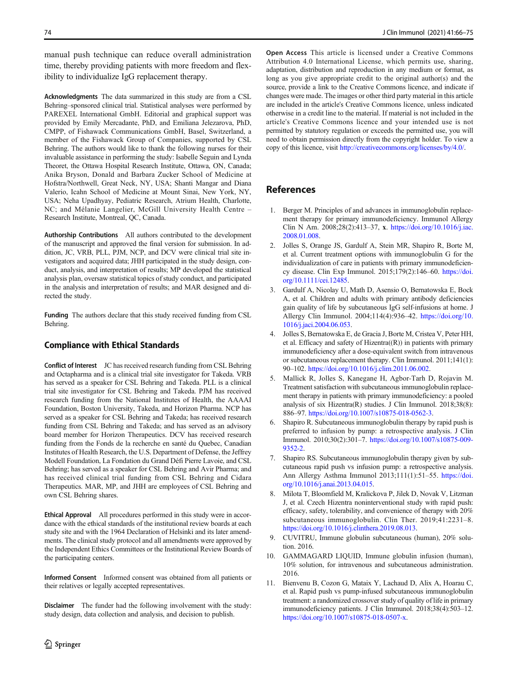<span id="page-8-0"></span>manual push technique can reduce overall administration time, thereby providing patients with more freedom and flexibility to individualize IgG replacement therapy.

Acknowledgments The data summarized in this study are from a CSL Behring–sponsored clinical trial. Statistical analyses were performed by PAREXEL International GmbH. Editorial and graphical support was provided by Emily Mercadante, PhD, and Emiliana Jelezarova, PhD, CMPP, of Fishawack Communications GmbH, Basel, Switzerland, a member of the Fishawack Group of Companies, supported by CSL Behring. The authors would like to thank the following nurses for their invaluable assistance in performing the study: Isabelle Seguin and Lynda Theoret, the Ottawa Hospital Research Institute, Ottawa, ON, Canada; Anika Bryson, Donald and Barbara Zucker School of Medicine at Hofstra/Northwell, Great Neck, NY, USA; Shanti Mangar and Diana Valerio, Icahn School of Medicine at Mount Sinai, New York, NY, USA; Neha Upadhyay, Pediatric Research, Atrium Health, Charlotte, NC; and Mélanie Langelier, McGill University Health Centre – Research Institute, Montreal, QC, Canada.

Authorship Contributions All authors contributed to the development of the manuscript and approved the final version for submission. In addition, JC, VRB, PLL, PJM, NCP, and DCV were clinical trial site investigators and acquired data; JHH participated in the study design, conduct, analysis, and interpretation of results; MP developed the statistical analysis plan, oversaw statistical topics of study conduct, and participated in the analysis and interpretation of results; and MAR designed and directed the study.

Funding The authors declare that this study received funding from CSL Behring.

## Compliance with Ethical Standards

Conflict of Interest JC has received research funding from CSL Behring and Octapharma and is a clinical trial site investigator for Takeda. VRB has served as a speaker for CSL Behring and Takeda. PLL is a clinical trial site investigator for CSL Behring and Takeda. PJM has received research funding from the National Institutes of Health, the AAAAI Foundation, Boston University, Takeda, and Horizon Pharma. NCP has served as a speaker for CSL Behring and Takeda; has received research funding from CSL Behring and Takeda; and has served as an advisory board member for Horizon Therapeutics. DCV has received research funding from the Fonds de la recherche en santé du Quebec, Canadian Institutes of Health Research, the U.S. Department of Defense, the Jeffrey Modell Foundation, La Fondation du Grand Défi Pierre Lavoie, and CSL Behring; has served as a speaker for CSL Behring and Avir Pharma; and has received clinical trial funding from CSL Behring and Cidara Therapeutics. MAR, MP, and JHH are employees of CSL Behring and own CSL Behring shares.

Ethical Approval All procedures performed in this study were in accordance with the ethical standards of the institutional review boards at each study site and with the 1964 Declaration of Helsinki and its later amendments. The clinical study protocol and all amendments were approved by the Independent Ethics Committees or the Institutional Review Boards of the participating centers.

Informed Consent Informed consent was obtained from all patients or their relatives or legally accepted representatives.

Disclaimer The funder had the following involvement with the study: study design, data collection and analysis, and decision to publish.

Open Access This article is licensed under a Creative Commons Attribution 4.0 International License, which permits use, sharing, adaptation, distribution and reproduction in any medium or format, as long as you give appropriate credit to the original author(s) and the source, provide a link to the Creative Commons licence, and indicate if changes were made. The images or other third party material in this article are included in the article's Creative Commons licence, unless indicated otherwise in a credit line to the material. If material is not included in the article's Creative Commons licence and your intended use is not permitted by statutory regulation or exceeds the permitted use, you will need to obtain permission directly from the copyright holder. To view a copy of this licence, visit [http://creativecommons.org/licenses/by/4.0/.](https://doi.org/)

# References

- 1. Berger M. Principles of and advances in immunoglobulin replacement therapy for primary immunodeficiency. Immunol Allergy Clin N Am. 2008;28(2):413–37, x. [https://doi.org/10.1016/j.iac.](https://doi.org/10.1016/j.iac.2008.01.008) [2008.01.008.](https://doi.org/10.1016/j.iac.2008.01.008)
- 2. Jolles S, Orange JS, Gardulf A, Stein MR, Shapiro R, Borte M, et al. Current treatment options with immunoglobulin G for the individualization of care in patients with primary immunodeficiency disease. Clin Exp Immunol. 2015;179(2):146–60. [https://doi.](https://doi.org/10.1111/cei.12485) [org/10.1111/cei.12485.](https://doi.org/10.1111/cei.12485)
- 3. Gardulf A, Nicolay U, Math D, Asensio O, Bernatowska E, Bock A, et al. Children and adults with primary antibody deficiencies gain quality of life by subcutaneous IgG self-infusions at home. J Allergy Clin Immunol. 2004;114(4):936–42. [https://doi.org/10.](https://doi.org/10.1016/j.jaci.2004.06.053) [1016/j.jaci.2004.06.053](https://doi.org/10.1016/j.jaci.2004.06.053).
- 4. Jolles S, Bernatowska E, de Gracia J, Borte M, Cristea V, Peter HH, et al. Efficacy and safety of  $Hizentra((R))$  in patients with primary immunodeficiency after a dose-equivalent switch from intravenous or subcutaneous replacement therapy. Clin Immunol. 2011;141(1): 90–102. <https://doi.org/10.1016/j.clim.2011.06.002>.
- 5. Mallick R, Jolles S, Kanegane H, Agbor-Tarh D, Rojavin M. Treatment satisfaction with subcutaneous immunoglobulin replacement therapy in patients with primary immunodeficiency: a pooled analysis of six Hizentra(R) studies. J Clin Immunol. 2018;38(8): 886–97. [https://doi.org/10.1007/s10875-018-0562-3.](https://doi.org/10.1007/s10875-018-0562-3)
- 6. Shapiro R. Subcutaneous immunoglobulin therapy by rapid push is preferred to infusion by pump: a retrospective analysis. J Clin Immunol. 2010;30(2):301–7. [https://doi.org/10.1007/s10875-009-](https://doi.org/10.1007/s10875-009-9352-2) [9352-2.](https://doi.org/10.1007/s10875-009-9352-2)
- 7. Shapiro RS. Subcutaneous immunoglobulin therapy given by subcutaneous rapid push vs infusion pump: a retrospective analysis. Ann Allergy Asthma Immunol 2013;111(1):51–55. [https://doi.](https://doi.org/10.1016/j.anai.2013.04.015) [org/10.1016/j.anai.2013.04.015](https://doi.org/10.1016/j.anai.2013.04.015).
- 8. Milota T, Bloomfield M, Kralickova P, Jilek D, Novak V, Litzman J, et al. Czech Hizentra noninterventional study with rapid push: efficacy, safety, tolerability, and convenience of therapy with 20% subcutaneous immunoglobulin. Clin Ther. 2019;41:2231–8. <https://doi.org/10.1016/j.clinthera.2019.08.013>.
- 9. CUVITRU, Immune globulin subcutaneous (human), 20% solution. 2016.
- 10. GAMMAGARD LIQUID, Immune globulin infusion (human), 10% solution, for intravenous and subcutaneous administration. 2016.
- 11. Bienvenu B, Cozon G, Mataix Y, Lachaud D, Alix A, Hoarau C, et al. Rapid push vs pump-infused subcutaneous immunoglobulin treatment: a randomized crossover study of quality of life in primary immunodeficiency patients. J Clin Immunol. 2018;38(4):503–12. <https://doi.org/10.1007/s10875-018-0507-x>.